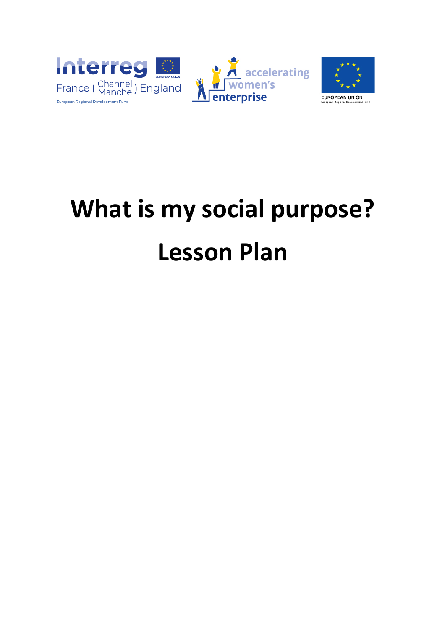



# **What is my social purpose? Lesson Plan**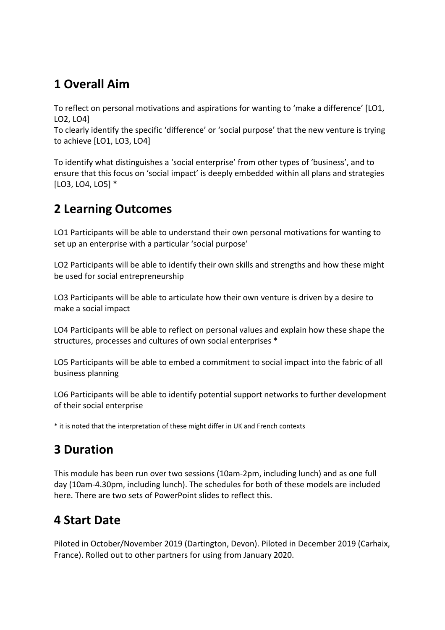## **1 Overall Aim**

To reflect on personal motivations and aspirations for wanting to 'make a difference' [LO1, LO2, LO4]

To clearly identify the specific 'difference' or 'social purpose' that the new venture is trying to achieve [LO1, LO3, LO4]

To identify what distinguishes a 'social enterprise' from other types of 'business', and to ensure that this focus on 'social impact' is deeply embedded within all plans and strategies [LO3, LO4, LO5] \*

## **2 Learning Outcomes**

LO1 Participants will be able to understand their own personal motivations for wanting to set up an enterprise with a particular 'social purpose'

LO2 Participants will be able to identify their own skills and strengths and how these might be used for social entrepreneurship

LO3 Participants will be able to articulate how their own venture is driven by a desire to make a social impact

LO4 Participants will be able to reflect on personal values and explain how these shape the structures, processes and cultures of own social enterprises \*

LO5 Participants will be able to embed a commitment to social impact into the fabric of all business planning

LO6 Participants will be able to identify potential support networks to further development of their social enterprise

\* it is noted that the interpretation of these might differ in UK and French contexts

## **3 Duration**

This module has been run over two sessions (10am-2pm, including lunch) and as one full day (10am-4.30pm, including lunch). The schedules for both of these models are included here. There are two sets of PowerPoint slides to reflect this.

## **4 Start Date**

Piloted in October/November 2019 (Dartington, Devon). Piloted in December 2019 (Carhaix, France). Rolled out to other partners for using from January 2020.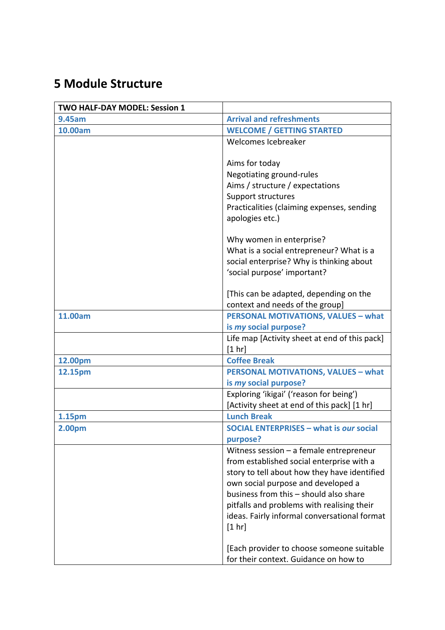## **5 Module Structure**

| <b>TWO HALF-DAY MODEL: Session 1</b> |                                                |
|--------------------------------------|------------------------------------------------|
| 9.45am                               | <b>Arrival and refreshments</b>                |
| 10.00am                              | <b>WELCOME / GETTING STARTED</b>               |
|                                      | Welcomes Icebreaker                            |
|                                      |                                                |
|                                      | Aims for today                                 |
|                                      | Negotiating ground-rules                       |
|                                      | Aims / structure / expectations                |
|                                      | Support structures                             |
|                                      | Practicalities (claiming expenses, sending     |
|                                      | apologies etc.)                                |
|                                      |                                                |
|                                      | Why women in enterprise?                       |
|                                      | What is a social entrepreneur? What is a       |
|                                      | social enterprise? Why is thinking about       |
|                                      | 'social purpose' important?                    |
|                                      | [This can be adapted, depending on the         |
|                                      | context and needs of the group]                |
| 11.00am                              | <b>PERSONAL MOTIVATIONS, VALUES - what</b>     |
|                                      | is my social purpose?                          |
|                                      | Life map [Activity sheet at end of this pack]  |
|                                      | [1 hr]                                         |
| 12.00pm                              | <b>Coffee Break</b>                            |
| 12.15pm                              | <b>PERSONAL MOTIVATIONS, VALUES - what</b>     |
|                                      | is my social purpose?                          |
|                                      | Exploring 'ikigai' ('reason for being')        |
|                                      | [Activity sheet at end of this pack] [1 hr]    |
| 1.15pm                               | <b>Lunch Break</b>                             |
| 2.00pm                               | <b>SOCIAL ENTERPRISES - what is our social</b> |
|                                      | purpose?                                       |
|                                      | Witness session $-$ a female entrepreneur      |
|                                      | from established social enterprise with a      |
|                                      | story to tell about how they have identified   |
|                                      | own social purpose and developed a             |
|                                      | business from this - should also share         |
|                                      | pitfalls and problems with realising their     |
|                                      | ideas. Fairly informal conversational format   |
|                                      | [1 hr]                                         |
|                                      |                                                |
|                                      | [Each provider to choose someone suitable      |
|                                      | for their context. Guidance on how to          |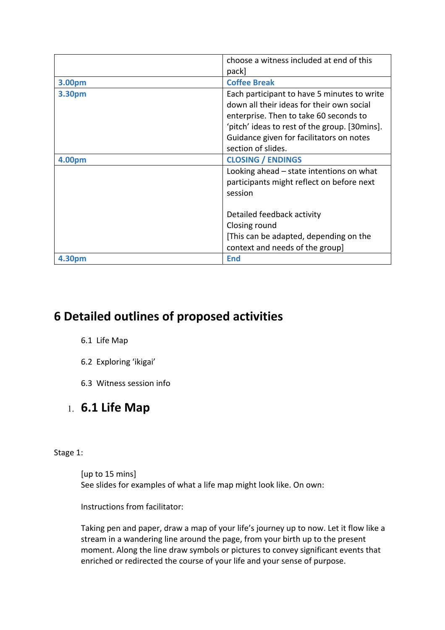|        | choose a witness included at end of this                                                                                                                                                                                                              |
|--------|-------------------------------------------------------------------------------------------------------------------------------------------------------------------------------------------------------------------------------------------------------|
|        | pack                                                                                                                                                                                                                                                  |
| 3.00pm | <b>Coffee Break</b>                                                                                                                                                                                                                                   |
| 3.30pm | Each participant to have 5 minutes to write<br>down all their ideas for their own social<br>enterprise. Then to take 60 seconds to<br>'pitch' ideas to rest of the group. [30mins].<br>Guidance given for facilitators on notes<br>section of slides. |
| 4.00pm | <b>CLOSING / ENDINGS</b>                                                                                                                                                                                                                              |
|        | Looking ahead – state intentions on what<br>participants might reflect on before next<br>session                                                                                                                                                      |
|        | Detailed feedback activity<br>Closing round<br>[This can be adapted, depending on the<br>context and needs of the group]                                                                                                                              |
| 4.30pm | <b>End</b>                                                                                                                                                                                                                                            |

## **6 Detailed outlines of proposed activities**

- 6.1 Life Map
- 6.2 Exploring 'ikigai'
- 6.3 Witness session info

## 1. **6.1 Life Map**

#### Stage 1:

[up to 15 mins] See slides for examples of what a life map might look like. On own:

Instructions from facilitator:

Taking pen and paper, draw a map of your life's journey up to now. Let it flow like a stream in a wandering line around the page, from your birth up to the present moment. Along the line draw symbols or pictures to convey significant events that enriched or redirected the course of your life and your sense of purpose.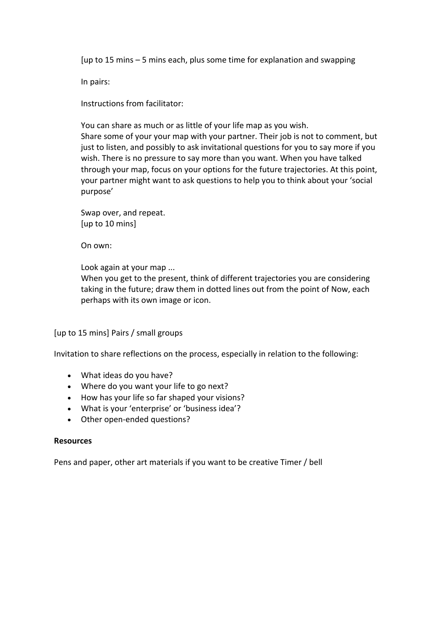[up to 15 mins – 5 mins each, plus some time for explanation and swapping

In pairs:

Instructions from facilitator:

You can share as much or as little of your life map as you wish. Share some of your your map with your partner. Their job is not to comment, but just to listen, and possibly to ask invitational questions for you to say more if you wish. There is no pressure to say more than you want. When you have talked through your map, focus on your options for the future trajectories. At this point, your partner might want to ask questions to help you to think about your 'social purpose'

Swap over, and repeat. [up to 10 mins]

On own:

Look again at your map ...

When you get to the present, think of different trajectories you are considering taking in the future; draw them in dotted lines out from the point of Now, each perhaps with its own image or icon.

#### [up to 15 mins] Pairs / small groups

Invitation to share reflections on the process, especially in relation to the following:

- What ideas do you have?
- Where do you want your life to go next?
- How has your life so far shaped your visions?
- What is your 'enterprise' or 'business idea'?
- Other open-ended questions?

#### **Resources**

Pens and paper, other art materials if you want to be creative Timer / bell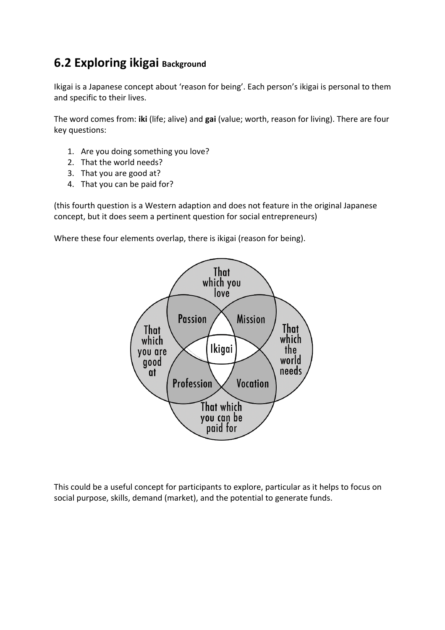## **6.2 Exploring ikigai Background**

Ikigai is a Japanese concept about 'reason for being'. Each person's ikigai is personal to them and specific to their lives.

The word comes from: **iki** (life; alive) and **gai** (value; worth, reason for living). There are four key questions:

- 1. Are you doing something you love?
- 2. That the world needs?
- 3. That you are good at?
- 4. That you can be paid for?

(this fourth question is a Western adaption and does not feature in the original Japanese concept, but it does seem a pertinent question for social entrepreneurs)

Where these four elements overlap, there is ikigai (reason for being).



This could be a useful concept for participants to explore, particular as it helps to focus on social purpose, skills, demand (market), and the potential to generate funds.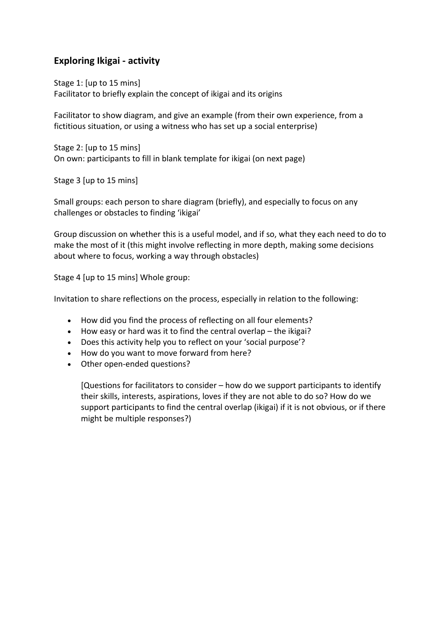#### **Exploring Ikigai - activity**

Stage 1: [up to 15 mins] Facilitator to briefly explain the concept of ikigai and its origins

Facilitator to show diagram, and give an example (from their own experience, from a fictitious situation, or using a witness who has set up a social enterprise)

Stage 2: [up to 15 mins] On own: participants to fill in blank template for ikigai (on next page)

Stage 3 [up to 15 mins]

Small groups: each person to share diagram (briefly), and especially to focus on any challenges or obstacles to finding 'ikigai'

Group discussion on whether this is a useful model, and if so, what they each need to do to make the most of it (this might involve reflecting in more depth, making some decisions about where to focus, working a way through obstacles)

Stage 4 [up to 15 mins] Whole group:

Invitation to share reflections on the process, especially in relation to the following:

- How did you find the process of reflecting on all four elements?
- How easy or hard was it to find the central overlap the ikigai?
- Does this activity help you to reflect on your 'social purpose'?
- How do you want to move forward from here?
- Other open-ended questions?

[Questions for facilitators to consider – how do we support participants to identify their skills, interests, aspirations, loves if they are not able to do so? How do we support participants to find the central overlap (ikigai) if it is not obvious, or if there might be multiple responses?)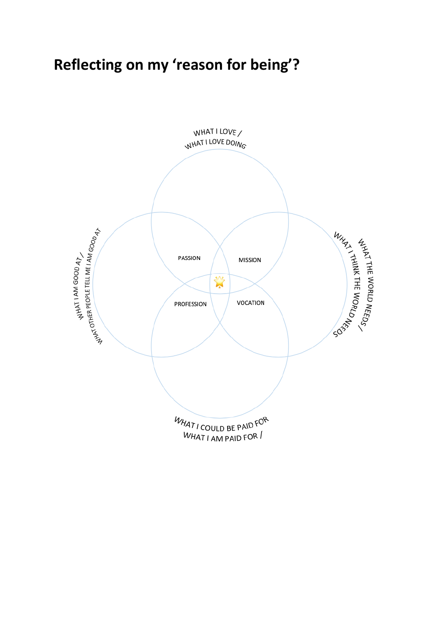## **Reflecting on my 'reason for being'?**